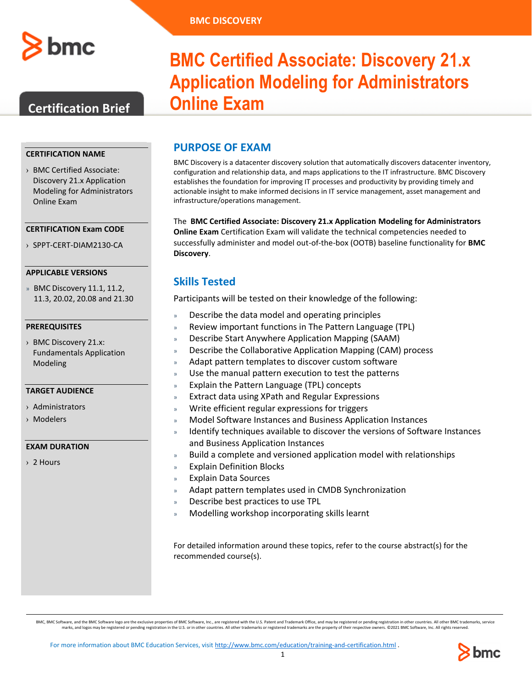

## **Certification Brief**

#### **CERTIFICATION NAME**

› BMC Certified Associate: Discovery 21.x Application Modeling for Administrators Online Exam

#### **CERTIFICATION Exam CODE**

› SPPT-CERT-DIAM2130-CA

#### **APPLICABLE VERSIONS**

» BMC Discovery 11.1, 11.2, 11.3, 20.02, 20.08 and 21.30

#### **PREREQUISITES**

› BMC Discovery 21.x: Fundamentals Application Modeling

#### **TARGET AUDIENCE**

- › Administrators
- › Modelers

#### **EXAM DURATION**

› 2 Hours

# **BMC Certified Associate: Discovery 2**1**.x Application Modeling for Administrators Online Exam**

### **PURPOSE OF EXAM**

BMC Discovery is a datacenter discovery solution that automatically discovers datacenter inventory, configuration and relationship data, and maps applications to the IT infrastructure. BMC Discovery establishes the foundation for improving IT processes and productivity by providing timely and actionable insight to make informed decisions in IT service management, asset management and infrastructure/operations management.

The **BMC Certified Associate: Discovery 21.x Application Modeling for Administrators Online Exam** Certification Exam will validate the technical competencies needed to successfully administer and model out-of-the-box (OOTB) baseline functionality for **BMC Discovery**.

### **Skills Tested**

Participants will be tested on their knowledge of the following:

- » Describe the data model and operating principles
- » Review important functions in The Pattern Language (TPL)
- » Describe Start Anywhere Application Mapping (SAAM)
- » Describe the Collaborative Application Mapping (CAM) process
- » Adapt pattern templates to discover custom software
- Use the manual pattern execution to test the patterns
- » Explain the Pattern Language (TPL) concepts
- » Extract data using XPath and Regular Expressions
- » Write efficient regular expressions for triggers
- » Model Software Instances and Business Application Instances
- » Identify techniques available to discover the versions of Software Instances and Business Application Instances
- » Build a complete and versioned application model with relationships
- » Explain Definition Blocks
- » Explain Data Sources
- » Adapt pattern templates used in CMDB Synchronization
- » Describe best practices to use TPL
- » Modelling workshop incorporating skills learnt

For detailed information around these topics, refer to the course abstract(s) for the recommended course(s).

BMC, BMC Software, and the BMC Software logo are the exclusive properties of BMC Software, Inc., are registered with the U.S. Patent and Trademark office, and may be registered or pending registration in other countries. A

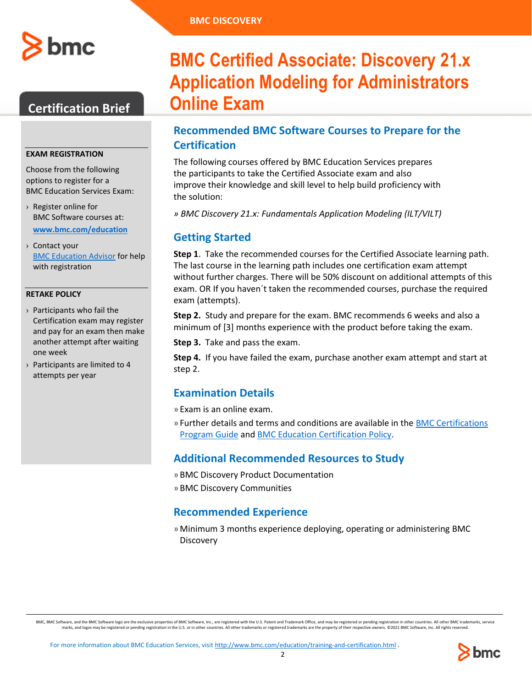

## **Certification Brief**

#### **EXAM REGISTRATION**

Choose from the following options to register for a BMC Education Services Exam:

- › Register online for BMC Software courses at: **[www.bmc.com/education](http://www.bmc.com/education)**
- › Contact your [BMC Education Advisor](https://www.bmc.com/forms/ALL-EduAdvisor-ContactMe.html) for help with registration

#### **RETAKE POLICY**

- › Participants who fail the Certification exam may register and pay for an exam then make another attempt after waiting one week
- › Participants are limited to 4 attempts per year

# **BMC Certified Associate: Discovery 2**1**.x Application Modeling for Administrators Online Exam**

## **Recommended BMC Software Courses to Prepare for the Certification**

The following courses offered by BMC Education Services prepares the participants to take the Certified Associate exam and also improve their knowledge and skill level to help build proficiency with the solution:

*» BMC Discovery 21.x: Fundamentals Application Modeling (ILT/VILT)*

## **Getting Started**

**Step 1**. Take the recommended courses for the Certified Associate learning path. The last course in the learning path includes one certification exam attempt without further charges. There will be 50% discount on additional attempts of this exam. OR If you haven´t taken the recommended courses, purchase the required exam (attempts).

**Step 2.** Study and prepare for the exam. BMC recommends 6 weeks and also a minimum of [3] months experience with the product before taking the exam.

**Step 3.** Take and pass the exam.

**Step 4.** If you have failed the exam, purchase another exam attempt and start at step 2.

## **Examination Details**

» Exam is an online exam.

» Further details and terms and conditions are available in th[e BMC Certifications](http://documents.bmc.com/products/documents/39/36/463936/463936.pdf) [Program Guide](http://documents.bmc.com/products/documents/39/36/463936/463936.pdf) and [BMC Education Certification Policy.](https://www.bmc.com/content/dam/bmc/education/BMC_Education_Certification_Policy.pdf)

## **Additional Recommended Resources to Study**

- » BMC Discovery Product Documentation
- » BMC Discovery Communities

### **Recommended Experience**

»Minimum 3 months experience deploying, operating or administering BMC **Discovery** 

BMC, BMC Software, and the BMC Software logo are the exclusive properties of BMC Software, Inc., are registered with the U.S. Patent and Trademark office, and may be registered or pending registration in other countries. A